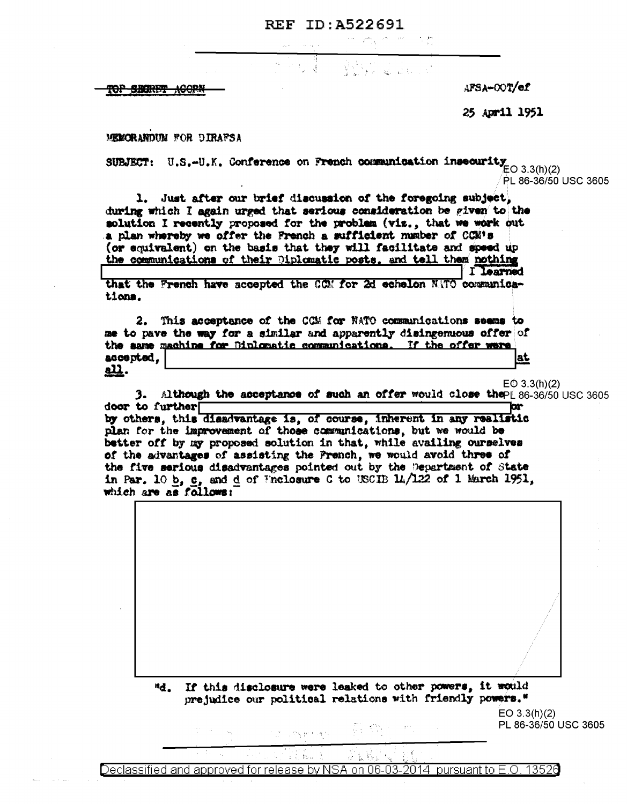## REF ID:A522691

di ji §

المحوان والمحارب والمحارب والمحار

 $\frac{1}{2}$ 

TOP SECTION <del>ACOPN</del> AFSA-OOT/ef

25 April 1951

MEMORANDUM FOR DIRAFSA

SUBJECT: U.S.-U.K. Conference on French communication insecurity<br> $E$ O 3.3(h)(2) PL 86-36/50 USC 3605

1. Just after our brief discussion of the foregoing subject, during which I again urged that serious consideration be given to the solution I recently proposed for the problem (viz., that we work out a plan whereby we offer the French a sufficient number of CCM's (or equivalent) on the basis that they will facilitate and speed up the communications of their Diplomatic posts, and tell them nothing I learned

that the French have accepted the CCM for 2d echelon NATO communications.

2. This acceptance of the CCM for NATO communications seems to me to pave the way for a similar and apparently disingenuous offer of the same machine for Diplomatic communications. If the offer were accepted. lat <u>all</u>.

 $EO$  3.3(h)(2)

3. Although the acceptance of such an offer would close thepe 86-36/50 USC 3605 door to further hr

by others, this disadvantage is, of course, inherent in any realistic plan for the improvement of those communications, but we would be better off by my proposed solution in that, while availing ourselves of the advantages of assisting the French, we would avoid three of the five serious disadvantages pointed out by the Department of State in Par. 10 b, c, and d of Wholosure C to USCIB 11/122 of 1 March 1951, which are as follows:

> "d. If this disclosure were leaked to other powers, it would prejudice our political relations with friendly powers."

 $EO$  3.3(h)(2) PL 86-36/50 USC 3605

家长是 Declassified and approved for release by NSA on 06-03-2014 pursuant to E.O. 13526

, the second  $\gamma$